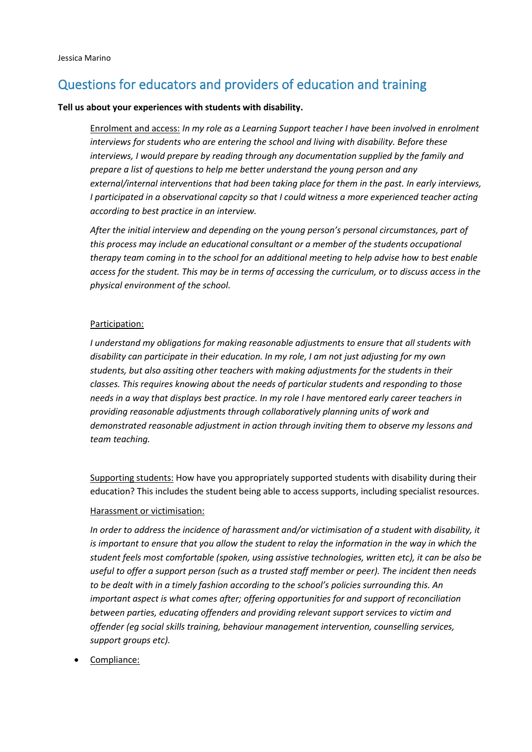## Questions for educators and providers of education and training

#### **Tell us about your experiences with students with disability.**

Enrolment and access: *In my role as a Learning Support teacher I have been involved in enrolment interviews for students who are entering the school and living with disability. Before these interviews, I would prepare by reading through any documentation supplied by the family and prepare a list of questions to help me better understand the young person and any external/internal interventions that had been taking place for them in the past. In early interviews, I participated in a observational capcity so that I could witness a more experienced teacher acting according to best practice in an interview.* 

*After the initial interview and depending on the young person's personal circumstances, part of this process may include an educational consultant or a member of the students occupational therapy team coming in to the school for an additional meeting to help advise how to best enable access for the student. This may be in terms of accessing the curriculum, or to discuss access in the physical environment of the school.*

#### Participation:

*I understand my obligations for making reasonable adjustments to ensure that all students with disability can participate in their education. In my role, I am not just adjusting for my own students, but also assiting other teachers with making adjustments for the students in their classes. This requires knowing about the needs of particular students and responding to those needs in a way that displays best practice. In my role I have mentored early career teachers in providing reasonable adjustments through collaboratively planning units of work and demonstrated reasonable adjustment in action through inviting them to observe my lessons and team teaching.*

Supporting students: How have you appropriately supported students with disability during their education? This includes the student being able to access supports, including specialist resources.

#### Harassment or victimisation:

*In order to address the incidence of harassment and/or victimisation of a student with disability, it is important to ensure that you allow the student to relay the information in the way in which the student feels most comfortable (spoken, using assistive technologies, written etc), it can be also be useful to offer a support person (such as a trusted staff member or peer). The incident then needs to be dealt with in a timely fashion according to the school's policies surrounding this. An important aspect is what comes after; offering opportunities for and support of reconciliation between parties, educating offenders and providing relevant support services to victim and offender (eg social skills training, behaviour management intervention, counselling services, support groups etc).*

• Compliance: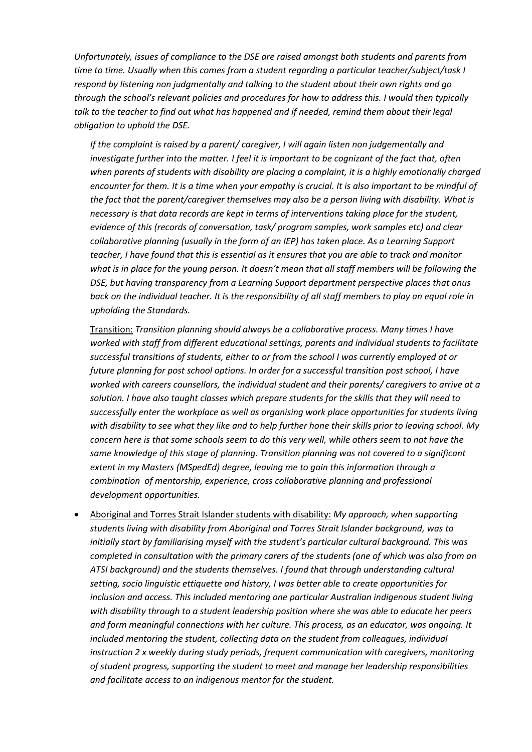*Unfortunately, issues of compliance to the DSE are raised amongst both students and parents from time to time. Usually when this comes from a student regarding a particular teacher/subject/task I respond by listening non judgmentally and talking to the student about their own rights and go through the school's relevant policies and procedures for how to address this. I would then typically talk to the teacher to find out what has happened and if needed, remind them about their legal obligation to uphold the DSE.*

*If the complaint is raised by a parent/ caregiver, I will again listen non judgementally and investigate further into the matter. I feel it is important to be cognizant of the fact that, often when parents of students with disability are placing a complaint, it is a highly emotionally charged encounter for them. It is a time when your empathy is crucial. It is also important to be mindful of the fact that the parent/caregiver themselves may also be a person living with disability. What is necessary is that data records are kept in terms of interventions taking place for the student, evidence of this (records of conversation, task/ program samples, work samples etc) and clear collaborative planning (usually in the form of an IEP) has taken place. As a Learning Support teacher, I have found that this is essential as it ensures that you are able to track and monitor what is in place for the young person. It doesn't mean that all staff members will be following the DSE, but having transparency from a Learning Support department perspective places that onus back on the individual teacher. It is the responsibility of all staff members to play an equal role in upholding the Standards.*

Transition: *Transition planning should always be a collaborative process. Many times I have worked with staff from different educational settings, parents and individual students to facilitate successful transitions of students, either to or from the school I was currently employed at or future planning for post school options. In order for a successful transition post school, I have worked with careers counsellors, the individual student and their parents/ caregivers to arrive at a solution. I have also taught classes which prepare students for the skills that they will need to successfully enter the workplace as well as organising work place opportunities for students living with disability to see what they like and to help further hone their skills prior to leaving school. My concern here is that some schools seem to do this very well, while others seem to not have the same knowledge of this stage of planning. Transition planning was not covered to a significant extent in my Masters (MSpedEd) degree, leaving me to gain this information through a combination of mentorship, experience, cross collaborative planning and professional development opportunities.* 

• Aboriginal and Torres Strait Islander students with disability: *My approach, when supporting students living with disability from Aboriginal and Torres Strait Islander background, was to initially start by familiarising myself with the student's particular cultural background. This was completed in consultation with the primary carers of the students (one of which was also from an ATSI background) and the students themselves. I found that through understanding cultural setting, socio linguistic ettiquette and history, I was better able to create opportunities for inclusion and access. This included mentoring one particular Australian indigenous student living with disability through to a student leadership position where she was able to educate her peers and form meaningful connections with her culture. This process, as an educator, was ongoing. It included mentoring the student, collecting data on the student from colleagues, individual instruction 2 x weekly during study periods, frequent communication with caregivers, monitoring of student progress, supporting the student to meet and manage her leadership responsibilities and facilitate access to an indigenous mentor for the student.*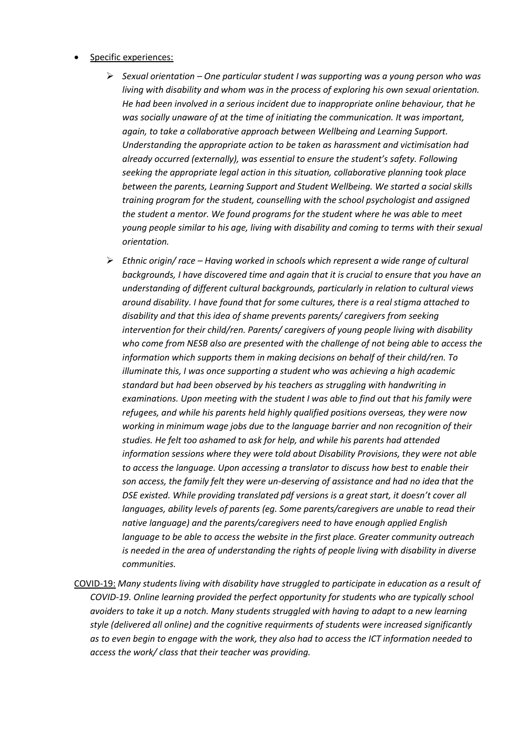- Specific experiences:
	- ➢ *Sexual orientation – One particular student I was supporting was a young person who was living with disability and whom was in the process of exploring his own sexual orientation. He had been involved in a serious incident due to inappropriate online behaviour, that he was socially unaware of at the time of initiating the communication. It was important, again, to take a collaborative approach between Wellbeing and Learning Support. Understanding the appropriate action to be taken as harassment and victimisation had already occurred (externally), was essential to ensure the student's safety. Following seeking the appropriate legal action in this situation, collaborative planning took place between the parents, Learning Support and Student Wellbeing. We started a social skills training program for the student, counselling with the school psychologist and assigned the student a mentor. We found programs for the student where he was able to meet young people similar to his age, living with disability and coming to terms with their sexual orientation.*
	- ➢ *Ethnic origin/ race – Having worked in schools which represent a wide range of cultural backgrounds, I have discovered time and again that it is crucial to ensure that you have an understanding of different cultural backgrounds, particularly in relation to cultural views around disability. I have found that for some cultures, there is a real stigma attached to disability and that this idea of shame prevents parents/ caregivers from seeking intervention for their child/ren. Parents/ caregivers of young people living with disability who come from NESB also are presented with the challenge of not being able to access the information which supports them in making decisions on behalf of their child/ren. To illuminate this, I was once supporting a student who was achieving a high academic standard but had been observed by his teachers as struggling with handwriting in examinations. Upon meeting with the student I was able to find out that his family were refugees, and while his parents held highly qualified positions overseas, they were now working in minimum wage jobs due to the language barrier and non recognition of their studies. He felt too ashamed to ask for help, and while his parents had attended information sessions where they were told about Disability Provisions, they were not able to access the language. Upon accessing a translator to discuss how best to enable their son access, the family felt they were un-deserving of assistance and had no idea that the DSE existed. While providing translated pdf versions is a great start, it doesn't cover all languages, ability levels of parents (eg. Some parents/caregivers are unable to read their native language) and the parents/caregivers need to have enough applied English language to be able to access the website in the first place. Greater community outreach is needed in the area of understanding the rights of people living with disability in diverse communities.*
- COVID-19: *Many students living with disability have struggled to participate in education as a result of COVID-19. Online learning provided the perfect opportunity for students who are typically school avoiders to take it up a notch. Many students struggled with having to adapt to a new learning style (delivered all online) and the cognitive requirments of students were increased significantly as to even begin to engage with the work, they also had to access the ICT information needed to access the work/ class that their teacher was providing.*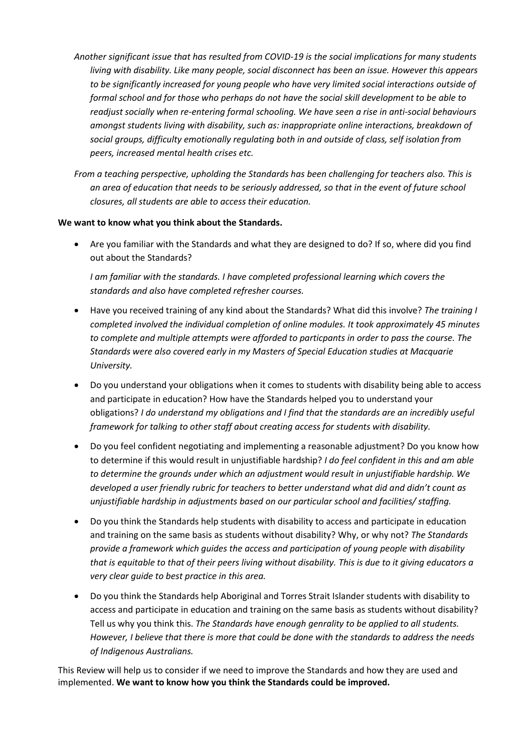- *Another significant issue that has resulted from COVID-19 is the social implications for many students living with disability. Like many people, social disconnect has been an issue. However this appears to be significantly increased for young people who have very limited social interactions outside of formal school and for those who perhaps do not have the social skill development to be able to readjust socially when re-entering formal schooling. We have seen a rise in anti-social behaviours amongst students living with disability, such as: inappropriate online interactions, breakdown of social groups, difficulty emotionally regulating both in and outside of class, self isolation from peers, increased mental health crises etc.*
- *From a teaching perspective, upholding the Standards has been challenging for teachers also. This is an area of education that needs to be seriously addressed, so that in the event of future school closures, all students are able to access their education.*

### **We want to know what you think about the Standards.**

• Are you familiar with the Standards and what they are designed to do? If so, where did you find out about the Standards?

*I am familiar with the standards. I have completed professional learning which covers the standards and also have completed refresher courses.*

- Have you received training of any kind about the Standards? What did this involve? *The training I completed involved the individual completion of online modules. It took approximately 45 minutes to complete and multiple attempts were afforded to particpants in order to pass the course. The Standards were also covered early in my Masters of Special Education studies at Macquarie University.*
- Do you understand your obligations when it comes to students with disability being able to access and participate in education? How have the Standards helped you to understand your obligations? *I do understand my obligations and I find that the standards are an incredibly useful framework for talking to other staff about creating access for students with disability.*
- Do you feel confident negotiating and implementing a reasonable adjustment? Do you know how to determine if this would result in unjustifiable hardship? *I do feel confident in this and am able to determine the grounds under which an adjustment would result in unjustifiable hardship. We developed a user friendly rubric for teachers to better understand what did and didn't count as unjustifiable hardship in adjustments based on our particular school and facilities/ staffing.*
- Do you think the Standards help students with disability to access and participate in education and training on the same basis as students without disability? Why, or why not? *The Standards provide a framework which guides the access and participation of young people with disability that is equitable to that of their peers living without disability. This is due to it giving educators a very clear guide to best practice in this area.*
- Do you think the Standards help Aboriginal and Torres Strait Islander students with disability to access and participate in education and training on the same basis as students without disability? Tell us why you think this. *The Standards have enough genrality to be applied to all students. However, I believe that there is more that could be done with the standards to address the needs of Indigenous Australians.*

This Review will help us to consider if we need to improve the Standards and how they are used and implemented. **We want to know how you think the Standards could be improved.**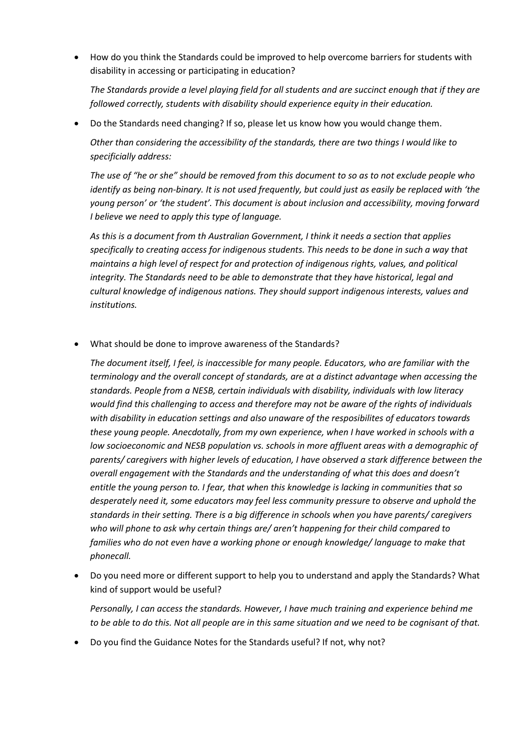• How do you think the Standards could be improved to help overcome barriers for students with disability in accessing or participating in education?

*The Standards provide a level playing field for all students and are succinct enough that if they are followed correctly, students with disability should experience equity in their education.* 

• Do the Standards need changing? If so, please let us know how you would change them.

*Other than considering the accessibility of the standards, there are two things I would like to specificially address:*

*The use of "he or she" should be removed from this document to so as to not exclude people who identify as being non-binary. It is not used frequently, but could just as easily be replaced with 'the young person' or 'the student'. This document is about inclusion and accessibility, moving forward I believe we need to apply this type of language.*

*As this is a document from th Australian Government, I think it needs a section that applies specifically to creating access for indigenous students. This needs to be done in such a way that maintains a high level of respect for and protection of indigenous rights, values, and political integrity. The Standards need to be able to demonstrate that they have historical, legal and cultural knowledge of indigenous nations. They should support indigenous interests, values and institutions.*

• What should be done to improve awareness of the Standards?

*The document itself, I feel, is inaccessible for many people. Educators, who are familiar with the terminology and the overall concept of standards, are at a distinct advantage when accessing the standards. People from a NESB, certain individuals with disability, individuals with low literacy would find this challenging to access and therefore may not be aware of the rights of individuals with disability in education settings and also unaware of the resposibilites of educators towards these young people. Anecdotally, from my own experience, when I have worked in schools with a low socioeconomic and NESB population vs. schools in more affluent areas with a demographic of parents/ caregivers with higher levels of education, I have observed a stark difference between the overall engagement with the Standards and the understanding of what this does and doesn't entitle the young person to. I fear, that when this knowledge is lacking in communities that so desperately need it, some educators may feel less community pressure to observe and uphold the standards in their setting. There is a big difference in schools when you have parents/ caregivers who will phone to ask why certain things are/ aren't happening for their child compared to families who do not even have a working phone or enough knowledge/ language to make that phonecall.*

• Do you need more or different support to help you to understand and apply the Standards? What kind of support would be useful?

*Personally, I can access the standards. However, I have much training and experience behind me to be able to do this. Not all people are in this same situation and we need to be cognisant of that.*

• Do you find the Guidance Notes for the Standards useful? If not, why not?